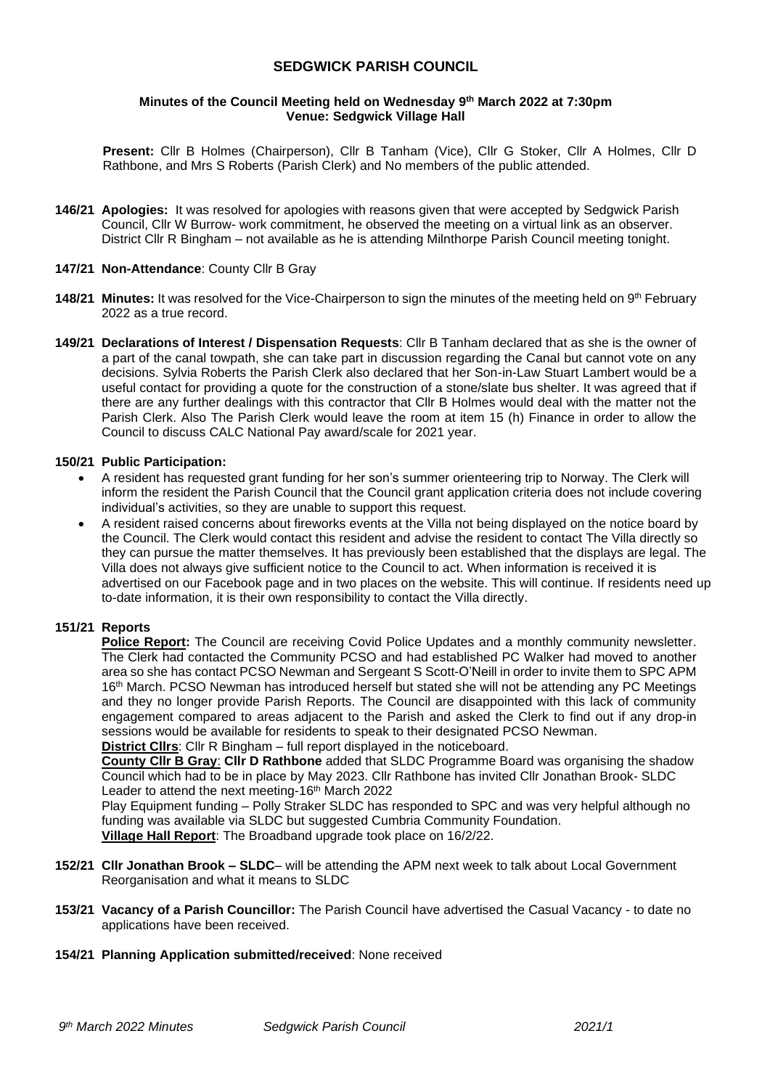## **SEDGWICK PARISH COUNCIL**

#### **Minutes of the Council Meeting held on Wednesday 9 th March 2022 at 7:30pm Venue: Sedgwick Village Hall**

**Present:** Cllr B Holmes (Chairperson), Cllr B Tanham (Vice), Cllr G Stoker, Cllr A Holmes, Cllr D Rathbone, and Mrs S Roberts (Parish Clerk) and No members of the public attended.

**146/21 Apologies:** It was resolved for apologies with reasons given that were accepted by Sedgwick Parish Council, Cllr W Burrow- work commitment, he observed the meeting on a virtual link as an observer. District Cllr R Bingham – not available as he is attending Milnthorpe Parish Council meeting tonight.

#### **147/21 Non-Attendance**: County Cllr B Gray

- **148/21 Minutes:** It was resolved for the Vice-Chairperson to sign the minutes of the meeting held on 9<sup>th</sup> February 2022 as a true record.
- **149/21 Declarations of Interest / Dispensation Requests**: Cllr B Tanham declared that as she is the owner of a part of the canal towpath, she can take part in discussion regarding the Canal but cannot vote on any decisions. Sylvia Roberts the Parish Clerk also declared that her Son-in-Law Stuart Lambert would be a useful contact for providing a quote for the construction of a stone/slate bus shelter. It was agreed that if there are any further dealings with this contractor that Cllr B Holmes would deal with the matter not the Parish Clerk. Also The Parish Clerk would leave the room at item 15 (h) Finance in order to allow the Council to discuss CALC National Pay award/scale for 2021 year.

#### **150/21 Public Participation:**

- A resident has requested grant funding for her son's summer orienteering trip to Norway. The Clerk will inform the resident the Parish Council that the Council grant application criteria does not include covering individual's activities, so they are unable to support this request.
- A resident raised concerns about fireworks events at the Villa not being displayed on the notice board by the Council. The Clerk would contact this resident and advise the resident to contact The Villa directly so they can pursue the matter themselves. It has previously been established that the displays are legal. The Villa does not always give sufficient notice to the Council to act. When information is received it is advertised on our Facebook page and in two places on the website. This will continue. If residents need up to-date information, it is their own responsibility to contact the Villa directly.

### **151/21 Reports**

**Police Report:** The Council are receiving Covid Police Updates and a monthly community newsletter. The Clerk had contacted the Community PCSO and had established PC Walker had moved to another area so she has contact PCSO Newman and Sergeant S Scott-O'Neill in order to invite them to SPC APM 16<sup>th</sup> March. PCSO Newman has introduced herself but stated she will not be attending any PC Meetings and they no longer provide Parish Reports. The Council are disappointed with this lack of community engagement compared to areas adjacent to the Parish and asked the Clerk to find out if any drop-in sessions would be available for residents to speak to their designated PCSO Newman. **District Cllrs**: Cllr R Bingham – full report displayed in the noticeboard.

**County Cllr B Gray**: **Cllr D Rathbone** added that SLDC Programme Board was organising the shadow Council which had to be in place by May 2023. Cllr Rathbone has invited Cllr Jonathan Brook- SLDC Leader to attend the next meeting-16<sup>th</sup> March 2022

Play Equipment funding – Polly Straker SLDC has responded to SPC and was very helpful although no funding was available via SLDC but suggested Cumbria Community Foundation. **Village Hall Report**: The Broadband upgrade took place on 16/2/22.

- **152/21 Cllr Jonathan Brook – SLDC** will be attending the APM next week to talk about Local Government Reorganisation and what it means to SLDC
- **153/21 Vacancy of a Parish Councillor:** The Parish Council have advertised the Casual Vacancy to date no applications have been received.
- **154/21 Planning Application submitted/received**: None received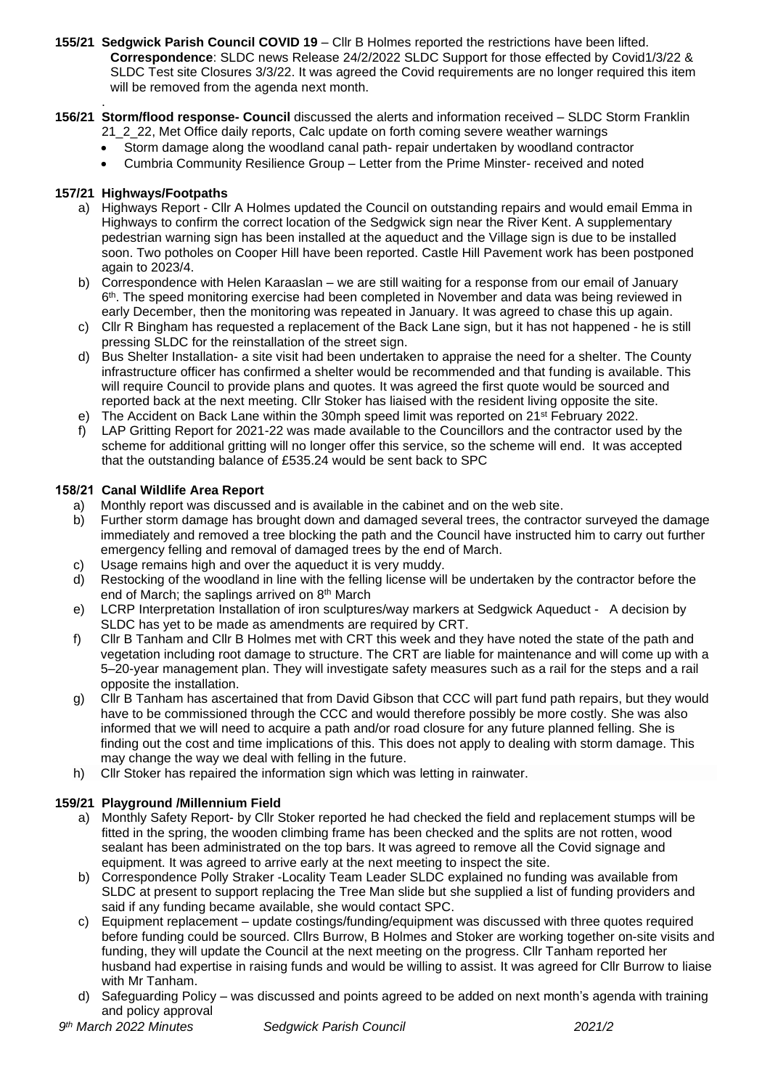- **155/21 Sedgwick Parish Council COVID 19**  Cllr B Holmes reported the restrictions have been lifted. **Correspondence**: SLDC news Release 24/2/2022 SLDC Support for those effected by Covid1/3/22 & SLDC Test site Closures 3/3/22. It was agreed the Covid requirements are no longer required this item will be removed from the agenda next month.
- . **156/21 Storm/flood response- Council** discussed the alerts and information received – SLDC Storm Franklin 21\_2\_22, Met Office daily reports, Calc update on forth coming severe weather warnings
	- Storm damage along the woodland canal path- repair undertaken by woodland contractor
	- Cumbria Community Resilience Group Letter from the Prime Minster- received and noted

## **157/21 Highways/Footpaths**

- a) Highways Report Cllr A Holmes updated the Council on outstanding repairs and would email Emma in Highways to confirm the correct location of the Sedgwick sign near the River Kent. A supplementary pedestrian warning sign has been installed at the aqueduct and the Village sign is due to be installed soon. Two potholes on Cooper Hill have been reported. Castle Hill Pavement work has been postponed again to 2023/4.
- b) Correspondence with Helen Karaaslan we are still waiting for a response from our email of January 6 th. The speed monitoring exercise had been completed in November and data was being reviewed in early December, then the monitoring was repeated in January. It was agreed to chase this up again.
- c) Cllr R Bingham has requested a replacement of the Back Lane sign, but it has not happened he is still pressing SLDC for the reinstallation of the street sign.
- d) Bus Shelter Installation- a site visit had been undertaken to appraise the need for a shelter. The County infrastructure officer has confirmed a shelter would be recommended and that funding is available. This will require Council to provide plans and quotes. It was agreed the first quote would be sourced and reported back at the next meeting. Cllr Stoker has liaised with the resident living opposite the site.
- e) The Accident on Back Lane within the 30mph speed limit was reported on 21<sup>st</sup> February 2022.
- f) LAP Gritting Report for 2021-22 was made available to the Councillors and the contractor used by the scheme for additional gritting will no longer offer this service, so the scheme will end. It was accepted that the outstanding balance of £535.24 would be sent back to SPC

## **158/21 Canal Wildlife Area Report**

- a) Monthly report was discussed and is available in the cabinet and on the web site.
- b) Further storm damage has brought down and damaged several trees, the contractor surveyed the damage immediately and removed a tree blocking the path and the Council have instructed him to carry out further emergency felling and removal of damaged trees by the end of March.
- c) Usage remains high and over the aqueduct it is very muddy.
- d) Restocking of the woodland in line with the felling license will be undertaken by the contractor before the end of March; the saplings arrived on 8<sup>th</sup> March
- e) LCRP Interpretation Installation of iron sculptures/way markers at Sedgwick Aqueduct A decision by SLDC has yet to be made as amendments are required by CRT.
- f) Cllr B Tanham and Cllr B Holmes met with CRT this week and they have noted the state of the path and vegetation including root damage to structure. The CRT are liable for maintenance and will come up with a 5–20-year management plan. They will investigate safety measures such as a rail for the steps and a rail opposite the installation.
- g) Cllr B Tanham has ascertained that from David Gibson that CCC will part fund path repairs, but they would have to be commissioned through the CCC and would therefore possibly be more costly. She was also informed that we will need to acquire a path and/or road closure for any future planned felling. She is finding out the cost and time implications of this. This does not apply to dealing with storm damage. This may change the way we deal with felling in the future.
- h) Cllr Stoker has repaired the information sign which was letting in rainwater.

# **159/21 Playground /Millennium Field**

- a) Monthly Safety Report- by Cllr Stoker reported he had checked the field and replacement stumps will be fitted in the spring, the wooden climbing frame has been checked and the splits are not rotten, wood sealant has been administrated on the top bars. It was agreed to remove all the Covid signage and equipment. It was agreed to arrive early at the next meeting to inspect the site.
- b) Correspondence Polly Straker -Locality Team Leader SLDC explained no funding was available from SLDC at present to support replacing the Tree Man slide but she supplied a list of funding providers and said if any funding became available, she would contact SPC.
- c) Equipment replacement update costings/funding/equipment was discussed with three quotes required before funding could be sourced. Cllrs Burrow, B Holmes and Stoker are working together on-site visits and funding, they will update the Council at the next meeting on the progress. Cllr Tanham reported her husband had expertise in raising funds and would be willing to assist. It was agreed for Cllr Burrow to liaise with Mr Tanham.
- d) Safeguarding Policy was discussed and points agreed to be added on next month's agenda with training and policy approval